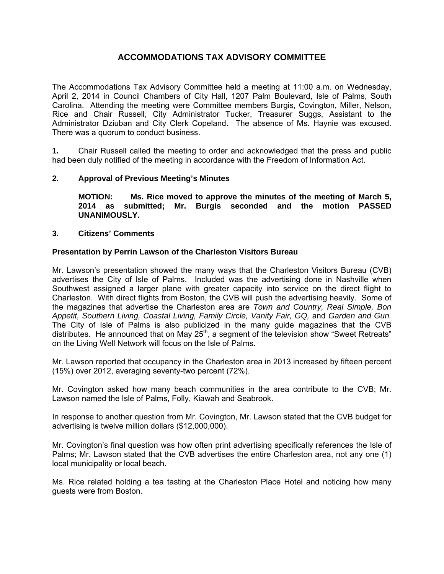# **ACCOMMODATIONS TAX ADVISORY COMMITTEE**

The Accommodations Tax Advisory Committee held a meeting at 11:00 a.m. on Wednesday, April 2, 2014 in Council Chambers of City Hall, 1207 Palm Boulevard, Isle of Palms, South Carolina. Attending the meeting were Committee members Burgis, Covington, Miller, Nelson, Rice and Chair Russell, City Administrator Tucker, Treasurer Suggs, Assistant to the Administrator Dziuban and City Clerk Copeland. The absence of Ms. Haynie was excused. There was a quorum to conduct business.

**1.** Chair Russell called the meeting to order and acknowledged that the press and public had been duly notified of the meeting in accordance with the Freedom of Information Act.

# **2. Approval of Previous Meeting's Minutes**

 **MOTION: Ms. Rice moved to approve the minutes of the meeting of March 5, 2014 as submitted; Mr. Burgis seconded and the motion PASSED UNANIMOUSLY.** 

## **3. Citizens' Comments**

## **Presentation by Perrin Lawson of the Charleston Visitors Bureau**

Mr. Lawson's presentation showed the many ways that the Charleston Visitors Bureau (CVB) advertises the City of Isle of Palms. Included was the advertising done in Nashville when Southwest assigned a larger plane with greater capacity into service on the direct flight to Charleston. With direct flights from Boston, the CVB will push the advertising heavily. Some of the magazines that advertise the Charleston area are *Town and Country, Real Simple, Bon Appetit, Southern Living, Coastal Living, Family Circle, Vanity Fair, GQ,* and *Garden and Gun.* The City of Isle of Palms is also publicized in the many guide magazines that the CVB distributes. He announced that on May 25<sup>th</sup>, a segment of the television show "Sweet Retreats" on the Living Well Network will focus on the Isle of Palms.

Mr. Lawson reported that occupancy in the Charleston area in 2013 increased by fifteen percent (15%) over 2012, averaging seventy-two percent (72%).

Mr. Covington asked how many beach communities in the area contribute to the CVB; Mr. Lawson named the Isle of Palms, Folly, Kiawah and Seabrook.

In response to another question from Mr. Covington, Mr. Lawson stated that the CVB budget for advertising is twelve million dollars (\$12,000,000).

Mr. Covington's final question was how often print advertising specifically references the Isle of Palms; Mr. Lawson stated that the CVB advertises the entire Charleston area, not any one (1) local municipality or local beach.

Ms. Rice related holding a tea tasting at the Charleston Place Hotel and noticing how many guests were from Boston.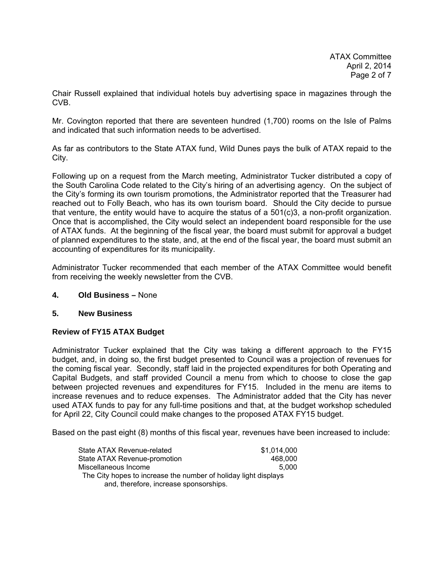Chair Russell explained that individual hotels buy advertising space in magazines through the CVB.

Mr. Covington reported that there are seventeen hundred (1,700) rooms on the Isle of Palms and indicated that such information needs to be advertised.

As far as contributors to the State ATAX fund, Wild Dunes pays the bulk of ATAX repaid to the City.

Following up on a request from the March meeting, Administrator Tucker distributed a copy of the South Carolina Code related to the City's hiring of an advertising agency. On the subject of the City's forming its own tourism promotions, the Administrator reported that the Treasurer had reached out to Folly Beach, who has its own tourism board. Should the City decide to pursue that venture, the entity would have to acquire the status of a 501(c)3, a non-profit organization. Once that is accomplished, the City would select an independent board responsible for the use of ATAX funds. At the beginning of the fiscal year, the board must submit for approval a budget of planned expenditures to the state, and, at the end of the fiscal year, the board must submit an accounting of expenditures for its municipality.

Administrator Tucker recommended that each member of the ATAX Committee would benefit from receiving the weekly newsletter from the CVB.

## **4. Old Business –** None

## **5. New Business**

## **Review of FY15 ATAX Budget**

Administrator Tucker explained that the City was taking a different approach to the FY15 budget, and, in doing so, the first budget presented to Council was a projection of revenues for the coming fiscal year. Secondly, staff laid in the projected expenditures for both Operating and Capital Budgets, and staff provided Council a menu from which to choose to close the gap between projected revenues and expenditures for FY15. Included in the menu are items to increase revenues and to reduce expenses. The Administrator added that the City has never used ATAX funds to pay for any full-time positions and that, at the budget workshop scheduled for April 22, City Council could make changes to the proposed ATAX FY15 budget.

Based on the past eight (8) months of this fiscal year, revenues have been increased to include:

| State ATAX Revenue-related                                      | \$1.014.000 |  |
|-----------------------------------------------------------------|-------------|--|
| State ATAX Revenue-promotion                                    | 468,000     |  |
| Miscellaneous Income                                            | 5.000       |  |
| The City hopes to increase the number of holiday light displays |             |  |
| and, therefore, increase sponsorships.                          |             |  |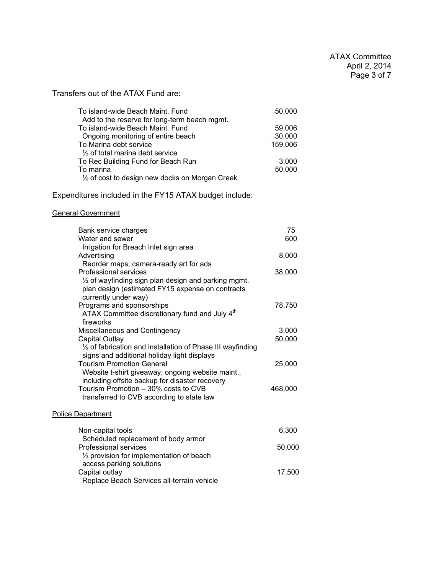Transfers out of the ATAX Fund are:

| To island-wide Beach Maint. Fund                          | 50,000  |
|-----------------------------------------------------------|---------|
| Add to the reserve for long-term beach mgmt.              |         |
| To island-wide Beach Maint. Fund                          | 59,006  |
| Ongoing monitoring of entire beach                        | 30,000  |
| To Marina debt service                                    | 159,006 |
| 1/ <sub>3</sub> of total marina debt service              |         |
| To Rec Building Fund for Beach Run                        | 3,000   |
| To marina                                                 | 50,000  |
| $\frac{1}{2}$ of cost to design new docks on Morgan Creek |         |

Expenditures included in the FY15 ATAX budget include:

# General Government

| Bank service charges                                           | 75      |
|----------------------------------------------------------------|---------|
| Water and sewer                                                | 600     |
| Irrigation for Breach Inlet sign area                          |         |
| Advertising                                                    | 8,000   |
| Reorder maps, camera-ready art for ads                         |         |
| Professional services                                          | 38,000  |
| $\frac{1}{2}$ of wayfinding sign plan design and parking mgmt. |         |
| plan design (estimated FY15 expense on contracts               |         |
| currently under way)                                           |         |
| Programs and sponsorships                                      | 78,750  |
| ATAX Committee discretionary fund and July 4 <sup>th</sup>     |         |
| fireworks                                                      |         |
| Miscellaneous and Contingency                                  | 3,000   |
| Capital Outlay                                                 | 50,000  |
| 1/2 of fabrication and installation of Phase III wayfinding    |         |
| signs and additional holiday light displays                    |         |
| <b>Tourism Promotion General</b>                               | 25,000  |
| Website t-shirt giveaway, ongoing website maint.,              |         |
| including offsite backup for disaster recovery                 |         |
| Tourism Promotion - 30% costs to CVB                           | 468,000 |
| transferred to CVB according to state law                      |         |
|                                                                |         |
| <b>Police Department</b>                                       |         |
| Non-capital tools                                              | 6,300   |
| Scheduled replacement of body armor                            |         |

| Non-capital tools                                     | 6.300  |
|-------------------------------------------------------|--------|
| Scheduled replacement of body armor                   |        |
| <b>Professional services</b>                          | 50,000 |
| 1/ <sub>3</sub> provision for implementation of beach |        |
| access parking solutions                              |        |
| Capital outlay                                        | 17.500 |
| Replace Beach Services all-terrain vehicle            |        |
|                                                       |        |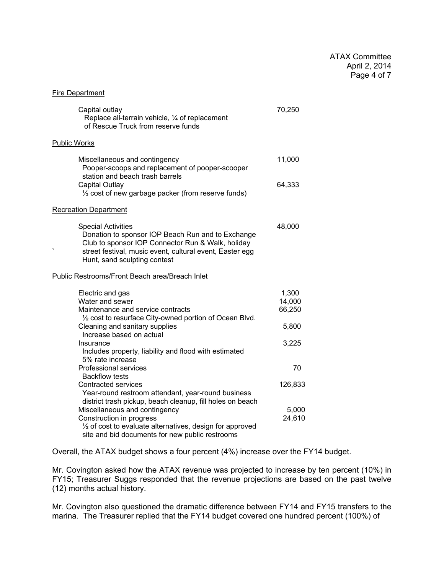#### Fire Department

| Capital outlay<br>Replace all-terrain vehicle, 1/4 of replacement<br>of Rescue Truck from reserve funds                                                                                                                                             | 70,250                    |
|-----------------------------------------------------------------------------------------------------------------------------------------------------------------------------------------------------------------------------------------------------|---------------------------|
| <b>Public Works</b>                                                                                                                                                                                                                                 |                           |
| Miscellaneous and contingency<br>Pooper-scoops and replacement of pooper-scooper<br>station and beach trash barrels                                                                                                                                 | 11,000                    |
| <b>Capital Outlay</b><br>1/3 cost of new garbage packer (from reserve funds)                                                                                                                                                                        | 64,333                    |
| <b>Recreation Department</b>                                                                                                                                                                                                                        |                           |
| <b>Special Activities</b><br>Donation to sponsor IOP Beach Run and to Exchange<br>Club to sponsor IOP Connector Run & Walk, holiday<br>street festival, music event, cultural event, Easter egg<br>Hunt, sand sculpting contest                     | 48,000                    |
| Public Restrooms/Front Beach area/Breach Inlet                                                                                                                                                                                                      |                           |
| Electric and gas<br>Water and sewer<br>Maintenance and service contracts                                                                                                                                                                            | 1,300<br>14,000<br>66,250 |
| 1/2 cost to resurface City-owned portion of Ocean Blvd.<br>Cleaning and sanitary supplies<br>Increase based on actual                                                                                                                               | 5,800                     |
| Insurance<br>Includes property, liability and flood with estimated<br>5% rate increase                                                                                                                                                              | 3,225                     |
| <b>Professional services</b>                                                                                                                                                                                                                        | 70                        |
| <b>Backflow tests</b><br>Contracted services                                                                                                                                                                                                        | 126,833                   |
| Year-round restroom attendant, year-round business<br>district trash pickup, beach cleanup, fill holes on beach<br>Miscellaneous and contingency<br>Construction in progress<br>$\frac{1}{2}$ of cost to evaluate alternatives, design for approved | 5,000<br>24,610           |
| site and bid documents for new public restrooms                                                                                                                                                                                                     |                           |

Overall, the ATAX budget shows a four percent (4%) increase over the FY14 budget.

Mr. Covington asked how the ATAX revenue was projected to increase by ten percent (10%) in FY15; Treasurer Suggs responded that the revenue projections are based on the past twelve (12) months actual history.

Mr. Covington also questioned the dramatic difference between FY14 and FY15 transfers to the marina. The Treasurer replied that the FY14 budget covered one hundred percent (100%) of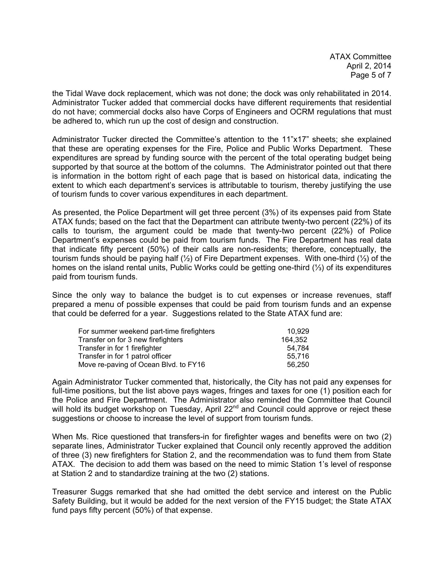ATAX Committee April 2, 2014 Page 5 of 7

the Tidal Wave dock replacement, which was not done; the dock was only rehabilitated in 2014. Administrator Tucker added that commercial docks have different requirements that residential do not have; commercial docks also have Corps of Engineers and OCRM regulations that must be adhered to, which run up the cost of design and construction.

Administrator Tucker directed the Committee's attention to the 11"x17" sheets; she explained that these are operating expenses for the Fire, Police and Public Works Department. These expenditures are spread by funding source with the percent of the total operating budget being supported by that source at the bottom of the columns. The Administrator pointed out that there is information in the bottom right of each page that is based on historical data, indicating the extent to which each department's services is attributable to tourism, thereby justifying the use of tourism funds to cover various expenditures in each department.

As presented, the Police Department will get three percent (3%) of its expenses paid from State ATAX funds; based on the fact that the Department can attribute twenty-two percent (22%) of its calls to tourism, the argument could be made that twenty-two percent (22%) of Police Department's expenses could be paid from tourism funds. The Fire Department has real data that indicate fifty percent (50%) of their calls are non-residents; therefore, conceptually, the tourism funds should be paying half (½) of Fire Department expenses. With one-third (⅓) of the homes on the island rental units, Public Works could be getting one-third (⅓) of its expenditures paid from tourism funds.

Since the only way to balance the budget is to cut expenses or increase revenues, staff prepared a menu of possible expenses that could be paid from tourism funds and an expense that could be deferred for a year. Suggestions related to the State ATAX fund are:

| For summer weekend part-time firefighters | 10.929  |
|-------------------------------------------|---------|
| Transfer on for 3 new firefighters        | 164.352 |
| Transfer in for 1 firefighter             | 54.784  |
| Transfer in for 1 patrol officer          | 55.716  |
| Move re-paving of Ocean Blvd. to FY16     | 56,250  |

Again Administrator Tucker commented that, historically, the City has not paid any expenses for full-time positions, but the list above pays wages, fringes and taxes for one (1) position each for the Police and Fire Department. The Administrator also reminded the Committee that Council will hold its budget workshop on Tuesday, April 22<sup>nd</sup> and Council could approve or reject these suggestions or choose to increase the level of support from tourism funds.

When Ms. Rice questioned that transfers-in for firefighter wages and benefits were on two (2) separate lines, Administrator Tucker explained that Council only recently approved the addition of three (3) new firefighters for Station 2, and the recommendation was to fund them from State ATAX. The decision to add them was based on the need to mimic Station 1's level of response at Station 2 and to standardize training at the two (2) stations.

Treasurer Suggs remarked that she had omitted the debt service and interest on the Public Safety Building, but it would be added for the next version of the FY15 budget; the State ATAX fund pays fifty percent (50%) of that expense.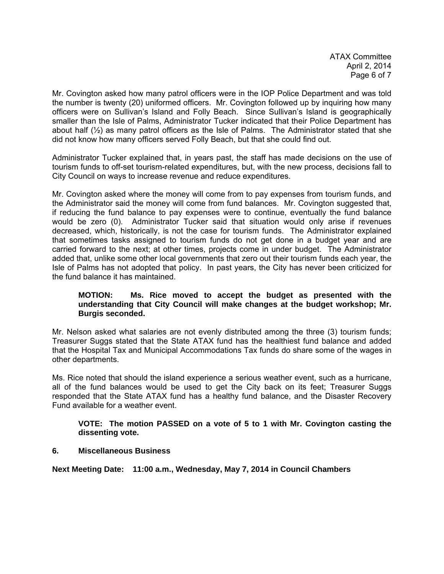ATAX Committee April 2, 2014 Page 6 of 7

Mr. Covington asked how many patrol officers were in the IOP Police Department and was told the number is twenty (20) uniformed officers. Mr. Covington followed up by inquiring how many officers were on Sullivan's Island and Folly Beach. Since Sullivan's Island is geographically smaller than the Isle of Palms, Administrator Tucker indicated that their Police Department has about half (½) as many patrol officers as the Isle of Palms. The Administrator stated that she did not know how many officers served Folly Beach, but that she could find out.

Administrator Tucker explained that, in years past, the staff has made decisions on the use of tourism funds to off-set tourism-related expenditures, but, with the new process, decisions fall to City Council on ways to increase revenue and reduce expenditures.

Mr. Covington asked where the money will come from to pay expenses from tourism funds, and the Administrator said the money will come from fund balances. Mr. Covington suggested that, if reducing the fund balance to pay expenses were to continue, eventually the fund balance would be zero (0). Administrator Tucker said that situation would only arise if revenues decreased, which, historically, is not the case for tourism funds. The Administrator explained that sometimes tasks assigned to tourism funds do not get done in a budget year and are carried forward to the next; at other times, projects come in under budget. The Administrator added that, unlike some other local governments that zero out their tourism funds each year, the Isle of Palms has not adopted that policy. In past years, the City has never been criticized for the fund balance it has maintained.

# **MOTION: Ms. Rice moved to accept the budget as presented with the understanding that City Council will make changes at the budget workshop; Mr. Burgis seconded.**

Mr. Nelson asked what salaries are not evenly distributed among the three (3) tourism funds; Treasurer Suggs stated that the State ATAX fund has the healthiest fund balance and added that the Hospital Tax and Municipal Accommodations Tax funds do share some of the wages in other departments.

Ms. Rice noted that should the island experience a serious weather event, such as a hurricane, all of the fund balances would be used to get the City back on its feet; Treasurer Suggs responded that the State ATAX fund has a healthy fund balance, and the Disaster Recovery Fund available for a weather event.

## **VOTE: The motion PASSED on a vote of 5 to 1 with Mr. Covington casting the dissenting vote.**

# **6. Miscellaneous Business**

**Next Meeting Date: 11:00 a.m., Wednesday, May 7, 2014 in Council Chambers**